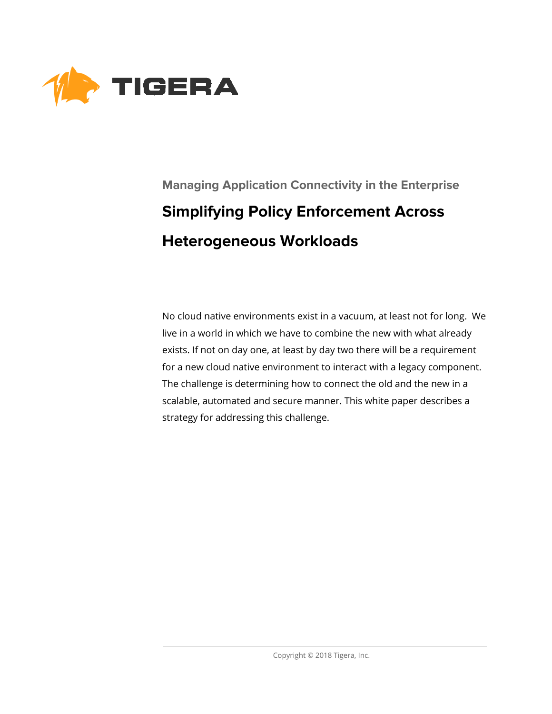

# **Managing Application Connectivity in the Enterprise Simplifying Policy Enforcement Across Heterogeneous Workloads**

No cloud native environments exist in a vacuum, at least not for long. We live in a world in which we have to combine the new with what already exists. If not on day one, at least by day two there will be a requirement for a new cloud native environment to interact with a legacy component. The challenge is determining how to connect the old and the new in a scalable, automated and secure manner. This white paper describes a strategy for addressing this challenge.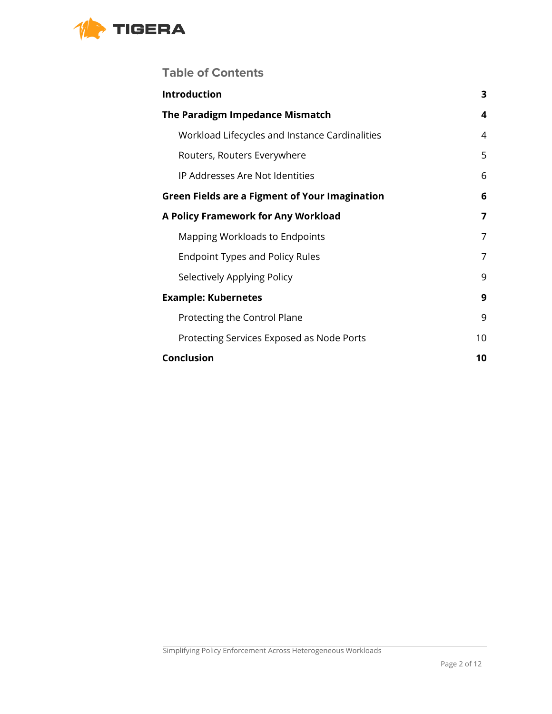

## **Table of Contents**

| <b>Introduction</b>                                   | 3  |
|-------------------------------------------------------|----|
| The Paradigm Impedance Mismatch                       | 4  |
| Workload Lifecycles and Instance Cardinalities        | 4  |
| Routers, Routers Everywhere                           | 5  |
| IP Addresses Are Not Identities                       | 6  |
| <b>Green Fields are a Figment of Your Imagination</b> | 6  |
| A Policy Framework for Any Workload                   | 7  |
| Mapping Workloads to Endpoints                        | 7  |
| <b>Endpoint Types and Policy Rules</b>                | 7  |
| Selectively Applying Policy                           | 9  |
| <b>Example: Kubernetes</b>                            | 9  |
| Protecting the Control Plane                          | 9  |
| Protecting Services Exposed as Node Ports             | 10 |
| <b>Conclusion</b>                                     | 10 |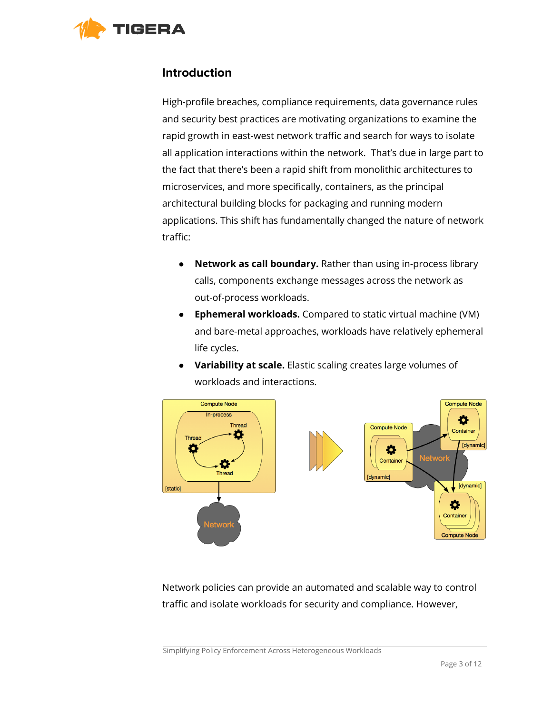<span id="page-2-0"></span>

#### **Introduction**

High-profile breaches, compliance requirements, data governance rules and security best practices are motivating organizations to examine the rapid growth in east-west network traffic and search for ways to isolate all application interactions within the network. That's due in large part to the fact that there's been a rapid shift from monolithic architectures to microservices, and more specifically, containers, as the principal architectural building blocks for packaging and running modern applications. This shift has fundamentally changed the nature of network traffic:

- **Network as call boundary.** Rather than using in-process library calls, components exchange messages across the network as out-of-process workloads.
- **Ephemeral workloads.** Compared to static virtual machine (VM) and bare-metal approaches, workloads have relatively ephemeral life cycles.
- **Variability at scale.** Elastic scaling creates large volumes of workloads and interactions.



Network policies can provide an automated and scalable way to control traffic and isolate workloads for security and compliance. However,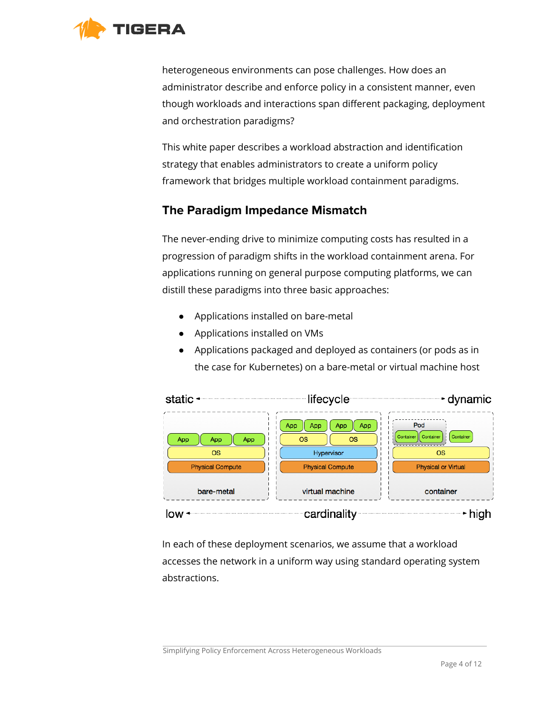

heterogeneous environments can pose challenges. How does an administrator describe and enforce policy in a consistent manner, even though workloads and interactions span different packaging, deployment and orchestration paradigms?

This white paper describes a workload abstraction and identification strategy that enables administrators to create a uniform policy framework that bridges multiple workload containment paradigms.

## <span id="page-3-0"></span>**The Paradigm Impedance Mismatch**

The never-ending drive to minimize computing costs has resulted in a progression of paradigm shifts in the workload containment arena. For applications running on general purpose computing platforms, we can distill these paradigms into three basic approaches:

- Applications installed on bare-metal
- Applications installed on VMs
- Applications packaged and deployed as containers (or pods as in the case for Kubernetes) on a bare-metal or virtual machine host



In each of these deployment scenarios, we assume that a workload accesses the network in a uniform way using standard operating system abstractions.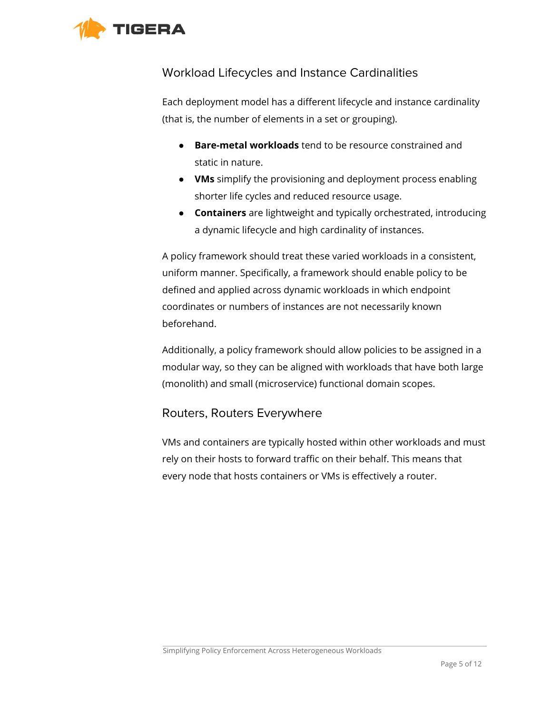<span id="page-4-0"></span>

## Workload Lifecycles and Instance Cardinalities

Each deployment model has a different lifecycle and instance cardinality (that is, the number of elements in a set or grouping).

- **Bare-metal workloads** tend to be resource constrained and static in nature.
- **VMs** simplify the provisioning and deployment process enabling shorter life cycles and reduced resource usage.
- **Containers** are lightweight and typically orchestrated, introducing a dynamic lifecycle and high cardinality of instances.

A policy framework should treat these varied workloads in a consistent, uniform manner. Specifically, a framework should enable policy to be defined and applied across dynamic workloads in which endpoint coordinates or numbers of instances are not necessarily known beforehand.

Additionally, a policy framework should allow policies to be assigned in a modular way, so they can be aligned with workloads that have both large (monolith) and small (microservice) functional domain scopes.

## <span id="page-4-1"></span>Routers, Routers Everywhere

VMs and containers are typically hosted within other workloads and must rely on their hosts to forward traffic on their behalf. This means that every node that hosts containers or VMs is effectively a router.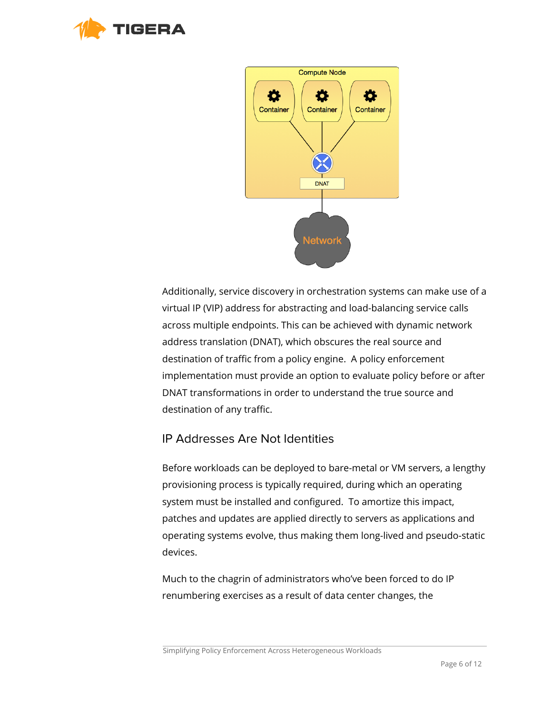



Additionally, service discovery in orchestration systems can make use of a virtual IP (VIP) address for abstracting and load-balancing service calls across multiple endpoints. This can be achieved with dynamic network address translation (DNAT), which obscures the real source and destination of traffic from a policy engine. A policy enforcement implementation must provide an option to evaluate policy before or after DNAT transformations in order to understand the true source and destination of any traffic.

#### <span id="page-5-0"></span>IP Addresses Are Not Identities

Before workloads can be deployed to bare-metal or VM servers, a lengthy provisioning process is typically required, during which an operating system must be installed and configured. To amortize this impact, patches and updates are applied directly to servers as applications and operating systems evolve, thus making them long-lived and pseudo-static devices.

Much to the chagrin of administrators who've been forced to do IP renumbering exercises as a result of data center changes, the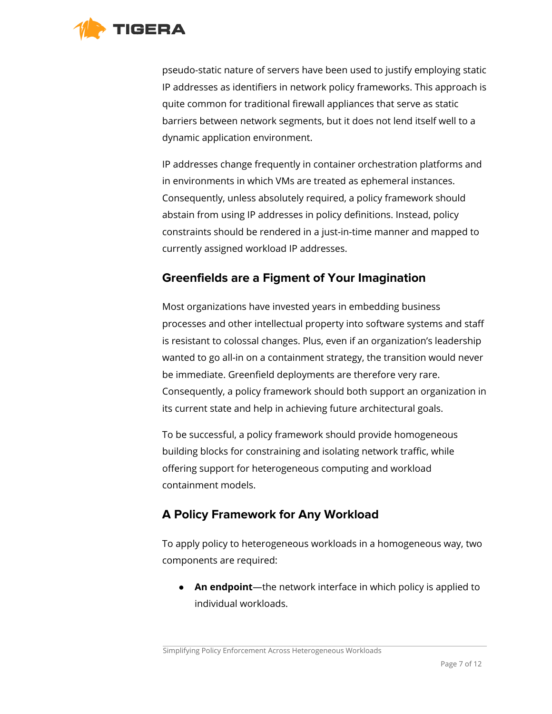

pseudo-static nature of servers have been used to justify employing static IP addresses as identifiers in network policy frameworks. This approach is quite common for traditional firewall appliances that serve as static barriers between network segments, but it does not lend itself well to a dynamic application environment.

IP addresses change frequently in container orchestration platforms and in environments in which VMs are treated as ephemeral instances. Consequently, unless absolutely required, a policy framework should abstain from using IP addresses in policy definitions. Instead, policy constraints should be rendered in a just-in-time manner and mapped to currently assigned workload IP addresses.

## <span id="page-6-0"></span>**Greenfields are a Figment of Your Imagination**

Most organizations have invested years in embedding business processes and other intellectual property into software systems and staff is resistant to colossal changes. Plus, even if an organization's leadership wanted to go all-in on a containment strategy, the transition would never be immediate. Greenfield deployments are therefore very rare. Consequently, a policy framework should both support an organization in its current state and help in achieving future architectural goals.

To be successful, a policy framework should provide homogeneous building blocks for constraining and isolating network traffic, while offering support for heterogeneous computing and workload containment models.

## <span id="page-6-1"></span>**A Policy Framework for Any Workload**

To apply policy to heterogeneous workloads in a homogeneous way, two components are required:

● **An endpoint**—the network interface in which policy is applied to individual workloads.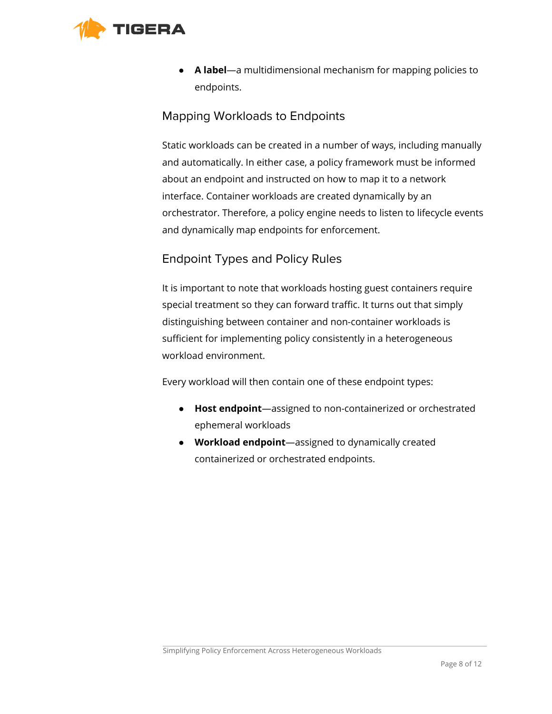<span id="page-7-0"></span>

● **A label**—a multidimensional mechanism for mapping policies to endpoints.

#### Mapping Workloads to Endpoints

Static workloads can be created in a number of ways, including manually and automatically. In either case, a policy framework must be informed about an endpoint and instructed on how to map it to a network interface. Container workloads are created dynamically by an orchestrator. Therefore, a policy engine needs to listen to lifecycle events and dynamically map endpoints for enforcement.

## <span id="page-7-1"></span>Endpoint Types and Policy Rules

It is important to note that workloads hosting guest containers require special treatment so they can forward traffic. It turns out that simply distinguishing between container and non-container workloads is sufficient for implementing policy consistently in a heterogeneous workload environment.

Every workload will then contain one of these endpoint types:

- **Host endpoint**—assigned to non-containerized or orchestrated ephemeral workloads
- **Workload endpoint**—assigned to dynamically created containerized or orchestrated endpoints.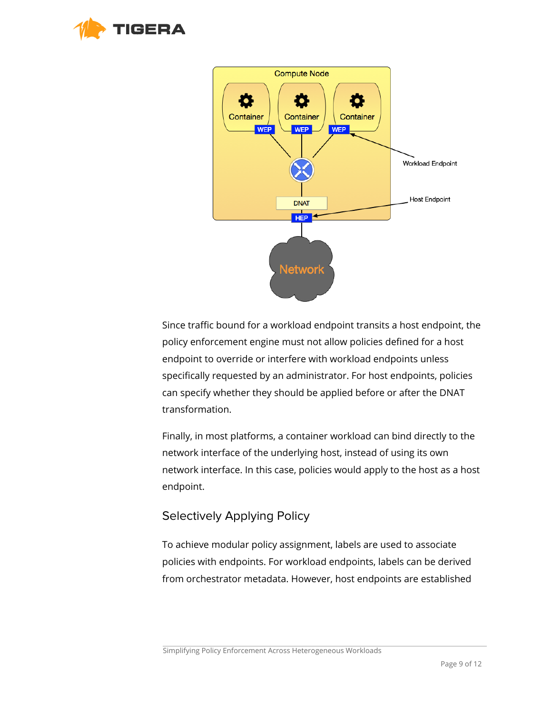



Since traffic bound for a workload endpoint transits a host endpoint, the policy enforcement engine must not allow policies defined for a host endpoint to override or interfere with workload endpoints unless specifically requested by an administrator. For host endpoints, policies can specify whether they should be applied before or after the DNAT transformation.

Finally, in most platforms, a container workload can bind directly to the network interface of the underlying host, instead of using its own network interface. In this case, policies would apply to the host as a host endpoint.

#### <span id="page-8-0"></span>Selectively Applying Policy

To achieve modular policy assignment, labels are used to associate policies with endpoints. For workload endpoints, labels can be derived from orchestrator metadata. However, host endpoints are established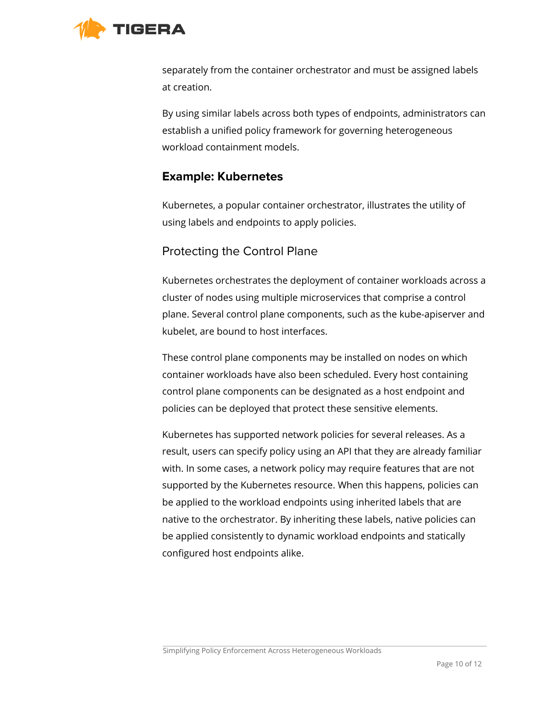

separately from the container orchestrator and must be assigned labels at creation.

By using similar labels across both types of endpoints, administrators can establish a unified policy framework for governing heterogeneous workload containment models.

#### <span id="page-9-0"></span>**Example: Kubernetes**

Kubernetes, a popular container orchestrator, illustrates the utility of using labels and endpoints to apply policies.

## <span id="page-9-1"></span>Protecting the Control Plane

Kubernetes orchestrates the deployment of container workloads across a cluster of nodes using multiple microservices that comprise a control plane. Several control plane components, such as the kube-apiserver and kubelet, are bound to host interfaces.

These control plane components may be installed on nodes on which container workloads have also been scheduled. Every host containing control plane components can be designated as a host endpoint and policies can be deployed that protect these sensitive elements.

Kubernetes has supported network policies for several releases. As a result, users can specify policy using an API that they are already familiar with. In some cases, a network policy may require features that are not supported by the Kubernetes resource. When this happens, policies can be applied to the workload endpoints using inherited labels that are native to the orchestrator. By inheriting these labels, native policies can be applied consistently to dynamic workload endpoints and statically configured host endpoints alike.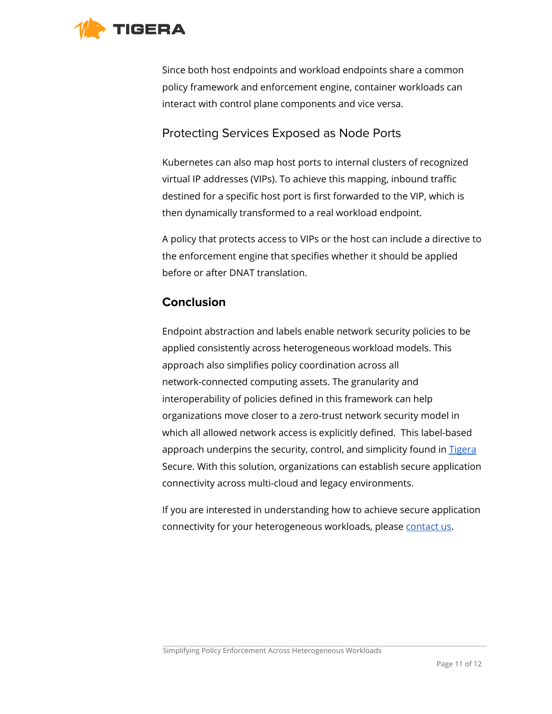

Since both host endpoints and workload endpoints share a common policy framework and enforcement engine, container workloads can interact with control plane components and vice versa.

## <span id="page-10-0"></span>Protecting Services Exposed as Node Ports

Kubernetes can also map host ports to internal clusters of recognized virtual IP addresses (VIPs). To achieve this mapping, inbound traffic destined for a specific host port is first forwarded to the VIP, which is then dynamically transformed to a real workload endpoint.

A policy that protects access to VIPs or the host can include a directive to the enforcement engine that specifies whether it should be applied before or after DNAT translation.

#### <span id="page-10-1"></span>**Conclusion**

Endpoint abstraction and labels enable network security policies to be applied consistently across heterogeneous workload models. This approach also simplifies policy coordination across all network-connected computing assets. The granularity and interoperability of policies defined in this framework can help organizations move closer to a zero-trust network security model in which all allowed network access is explicitly defined. This label-based approach underpins the security, control, and simplicity found in [Tigera](https://www.tigera.io/tigera-secure-ee/) Secure. With this solution, organizations can establish secure application connectivity across multi-cloud and legacy environments.

If you are interested in understanding how to achieve secure application connectivity for your heterogeneous workloads, please [contact us.](https://tigera.io/contact/)